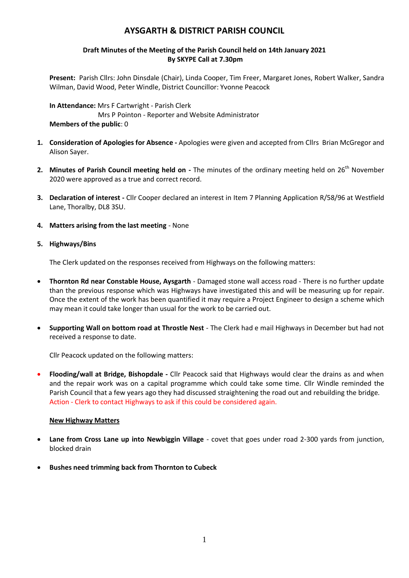# **AYSGARTH & DISTRICT PARISH COUNCIL**

# **Draft Minutes of the Meeting of the Parish Council held on 14th January 2021 By SKYPE Call at 7.30pm**

**Present:** Parish Cllrs: John Dinsdale (Chair), Linda Cooper, Tim Freer, Margaret Jones, Robert Walker, Sandra Wilman, David Wood, Peter Windle, District Councillor: Yvonne Peacock

**In Attendance:** Mrs F Cartwright - Parish Clerk Mrs P Pointon - Reporter and Website Administrator **Members of the public**: 0

- **1. Consideration of Apologies for Absence -** Apologies were given and accepted from Cllrs Brian McGregor and Alison Sayer.
- 2. Minutes of Parish Council meeting held on The minutes of the ordinary meeting held on 26<sup>th</sup> November 2020 were approved as a true and correct record.
- **3. Declaration of interest -** Cllr Cooper declared an interest in Item 7 Planning Application R/58/96 at Westfield Lane, Thoralby, DL8 3SU.
- **4. Matters arising from the last meeting** None
- **5. Highways/Bins**

The Clerk updated on the responses received from Highways on the following matters:

- **Thornton Rd near Constable House, Aysgarth** Damaged stone wall access road There is no further update than the previous response which was Highways have investigated this and will be measuring up for repair. Once the extent of the work has been quantified it may require a Project Engineer to design a scheme which may mean it could take longer than usual for the work to be carried out.
- **Supporting Wall on bottom road at Throstle Nest** The Clerk had e mail Highways in December but had not received a response to date.

Cllr Peacock updated on the following matters:

 **Flooding/wall at Bridge, Bishopdale -** Cllr Peacock said that Highways would clear the drains as and when and the repair work was on a capital programme which could take some time. Cllr Windle reminded the Parish Council that a few years ago they had discussed straightening the road out and rebuilding the bridge. Action - Clerk to contact Highways to ask if this could be considered again.

# **New Highway Matters**

- **Lane from Cross Lane up into Newbiggin Village** covet that goes under road 2-300 yards from junction, blocked drain
- **Bushes need trimming back from Thornton to Cubeck**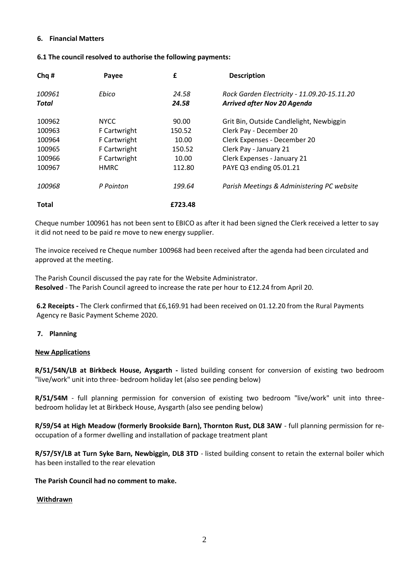### **6. Financial Matters**

#### **6.1 The council resolved to authorise the following payments:**

| Chq #        | Payee        | £       | <b>Description</b>                          |
|--------------|--------------|---------|---------------------------------------------|
| 100961       | Ebico        | 24.58   | Rock Garden Electricity - 11.09.20-15.11.20 |
| Total        |              | 24.58   | <b>Arrived after Nov 20 Agenda</b>          |
| 100962       | <b>NYCC</b>  | 90.00   | Grit Bin, Outside Candlelight, Newbiggin    |
| 100963       | F Cartwright | 150.52  | Clerk Pay - December 20                     |
| 100964       | F Cartwright | 10.00   | Clerk Expenses - December 20                |
| 100965       | F Cartwright | 150.52  | Clerk Pay - January 21                      |
| 100966       | F Cartwright | 10.00   | Clerk Expenses - January 21                 |
| 100967       | HMRC.        | 112.80  | PAYE Q3 ending 05.01.21                     |
| 100968       | P Pointon    | 199.64  | Parish Meetings & Administering PC website  |
| <b>Total</b> |              | £723.48 |                                             |

Cheque number 100961 has not been sent to EBICO as after it had been signed the Clerk received a letter to say it did not need to be paid re move to new energy supplier.

The invoice received re Cheque number 100968 had been received after the agenda had been circulated and approved at the meeting.

The Parish Council discussed the pay rate for the Website Administrator. **Resolved** - The Parish Council agreed to increase the rate per hour to £12.24 from April 20.

**6.2 Receipts -** The Clerk confirmed that £6,169.91 had been received on 01.12.20 from the Rural Payments Agency re Basic Payment Scheme 2020.

### **7. Planning**

#### **New Applications**

**R/51/54N/LB at Birkbeck House, Aysgarth -** listed building consent for conversion of existing two bedroom "live/work" unit into three- bedroom holiday let (also see pending below)

**R/51/54M** - full planning permission for conversion of existing two bedroom "live/work" unit into threebedroom holiday let at Birkbeck House, Aysgarth (also see pending below)

**R/59/54 at High Meadow (formerly Brookside Barn), Thornton Rust, DL8 3AW** - full planning permission for reoccupation of a former dwelling and installation of package treatment plant

**R/57/5Y/LB at Turn Syke Barn, Newbiggin, DL8 3TD** - listed building consent to retain the external boiler which has been installed to the rear elevation

### **The Parish Council had no comment to make.**

### **Withdrawn**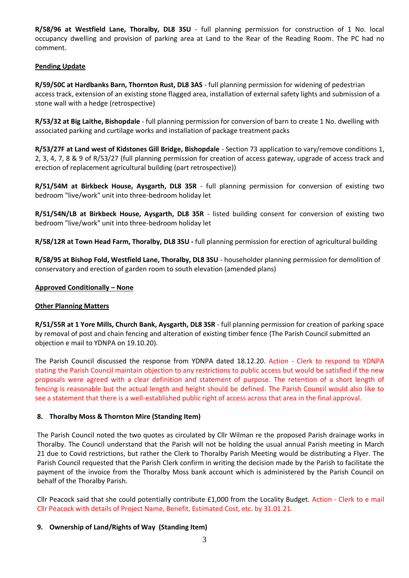**R/58/96 at Westfield Lane, Thoralby, DL8 3SU** - full planning permission for construction of 1 No. local occupancy dwelling and provision of parking area at Land to the Rear of the Reading Room. The PC had no comment.

### **Pending Update**

**R/59/50C at Hardbanks Barn, Thornton Rust, DL8 3AS** - full planning permission for widening of pedestrian access track, extension of an existing stone flagged area, installation of external safety lights and submission of a stone wall with a hedge (retrospective)

**R/53/32 at Big Laithe, Bishopdale** - full planning permission for conversion of barn to create 1 No. dwelling with associated parking and curtilage works and installation of package treatment packs

**R/53/27F at Land west of Kidstones Gill Bridge, Bishopdale** - Section 73 application to vary/remove conditions 1, 2, 3, 4, 7, 8 & 9 of R/53/27 (full planning permission for creation of access gateway, upgrade of access track and erection of replacement agricultural building (part retrospective))

**R/51/54M at Birkbeck House, Aysgarth, DL8 35R** - full planning permission for conversion of existing two bedroom "live/work" unit into three-bedroom holiday let

**R/51/54N/LB at Birkbeck House, Aysgarth, DL8 35R** - listed building consent for conversion of existing two bedroom "live/work" unit into three-bedroom holiday let

**R/58/12R at Town Head Farm, Thoralby, DL8 3SU -** full planning permission for erection of agricultural building

**R/58/95 at Bishop Fold, Westfield Lane, Thoralby, DL8 3SU** - householder planning permission for demolition of conservatory and erection of garden room to south elevation (amended plans)

### **Approved Conditionally – None**

### **Other Planning Matters**

**R/51/55R at 1 Yore Mills, Church Bank, Aysgarth, DL8 3SR** - full planning permission for creation of parking space by removal of post and chain fencing and alteration of existing timber fence (The Parish Council submitted an objection e mail to YDNPA on 19.10.20).

The Parish Council discussed the response from YDNPA dated 18.12.20. Action - Clerk to respond to YDNPA stating the Parish Council maintain objection to any restrictions to public access but would be satisfied if the new proposals were agreed with a clear definition and statement of purpose. The retention of a short length of fencing is reasonable but the actual length and height should be defined. The Parish Council would also like to see a statement that there is a well-established public right of access across that area in the final approval.

### **8. Thoralby Moss & Thornton Mire (Standing Item)**

The Parish Council noted the two quotes as circulated by Cllr Wilman re the proposed Parish drainage works in Thoralby. The Council understand that the Parish will not be holding the usual annual Parish meeting in March 21 due to Covid restrictions, but rather the Clerk to Thoralby Parish Meeting would be distributing a Flyer. The Parish Council requested that the Parish Clerk confirm in writing the decision made by the Parish to facilitate the payment of the invoice from the Thoralby Moss bank account which is administered by the Parish Council on behalf of the Thoralby Parish.

Cllr Peacock said that she could potentially contribute £1,000 from the Locality Budget. Action - Clerk to e mail Cllr Peacock with details of Project Name, Benefit, Estimated Cost, etc. by 31.01.21.

# **9. Ownership of Land/Rights of Way (Standing Item)**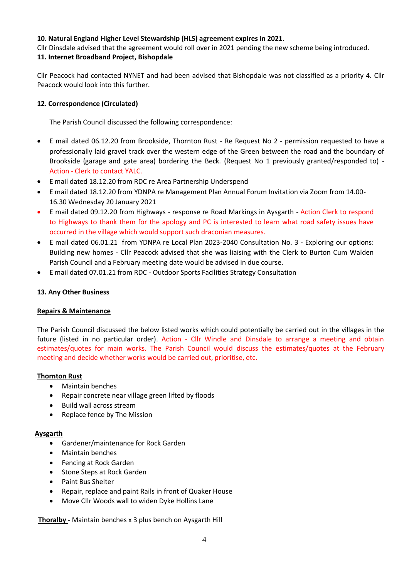### **10. Natural England Higher Level Stewardship (HLS) agreement expires in 2021.**

Cllr Dinsdale advised that the agreement would roll over in 2021 pending the new scheme being introduced.

# **11. Internet Broadband Project, Bishopdale**

Cllr Peacock had contacted NYNET and had been advised that Bishopdale was not classified as a priority 4. Cllr Peacock would look into this further.

# **12. Correspondence (Circulated)**

The Parish Council discussed the following correspondence:

- E mail dated 06.12.20 from Brookside, Thornton Rust Re Request No 2 permission requested to have a professionally laid gravel track over the western edge of the Green between the road and the boundary of Brookside (garage and gate area) bordering the Beck. (Request No 1 previously granted/responded to) - Action - Clerk to contact YALC.
- E mail dated 18.12.20 from RDC re Area Partnership Underspend
- E mail dated 18.12.20 from YDNPA re Management Plan Annual Forum Invitation via Zoom from 14.00- 16.30 Wednesday 20 January 2021
- E mail dated 09.12.20 from Highways response re Road Markings in Aysgarth Action Clerk to respond to Highways to thank them for the apology and PC is interested to learn what road safety issues have occurred in the village which would support such draconian measures.
- E mail dated 06.01.21 from YDNPA re Local Plan 2023-2040 Consultation No. 3 Exploring our options: Building new homes - Cllr Peacock advised that she was liaising with the Clerk to Burton Cum Walden Parish Council and a February meeting date would be advised in due course.
- E mail dated 07.01.21 from RDC Outdoor Sports Facilities Strategy Consultation

# **13. Any Other Business**

# **Repairs & Maintenance**

The Parish Council discussed the below listed works which could potentially be carried out in the villages in the future (listed in no particular order). Action - Cllr Windle and Dinsdale to arrange a meeting and obtain estimates/quotes for main works. The Parish Council would discuss the estimates/quotes at the February meeting and decide whether works would be carried out, prioritise, etc.

# **Thornton Rust**

- Maintain benches
- Repair concrete near village green lifted by floods
- Build wall across stream
- Replace fence by The Mission

# **Aysgarth**

- Gardener/maintenance for Rock Garden
- Maintain benches
- **•** Fencing at Rock Garden
- Stone Steps at Rock Garden
- Paint Bus Shelter
- Repair, replace and paint Rails in front of Quaker House
- Move Cllr Woods wall to widen Dyke Hollins Lane

 **Thoralby -** Maintain benches x 3 plus bench on Aysgarth Hill